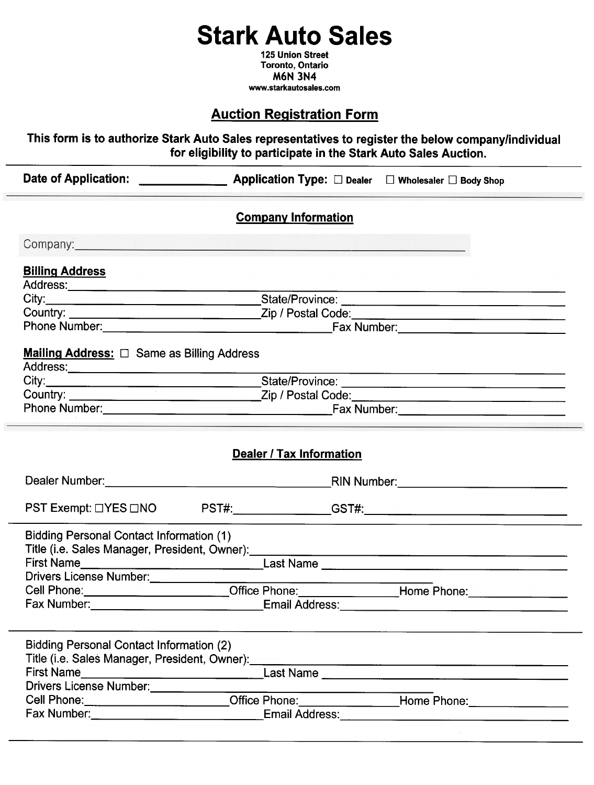## Stark Auto Sales

125 Union Street Toronto, Ontario M6N 3N4 www.starkautosaies.com

## **Auction Registration Form**

This form is to authorize Stark Auto Sales representatives to register the below companylindividual for eligibility to participate in the Stark Auto Sales Auction.

|                                                                                                                                                                                                                                     | <b>Company Information</b>      |                                                                                                                      |
|-------------------------------------------------------------------------------------------------------------------------------------------------------------------------------------------------------------------------------------|---------------------------------|----------------------------------------------------------------------------------------------------------------------|
| Company: <u>company</u> company company company company company company company company company company company company company company company company company company company company company company company company company com |                                 |                                                                                                                      |
| <b>Billing Address</b>                                                                                                                                                                                                              |                                 |                                                                                                                      |
|                                                                                                                                                                                                                                     |                                 |                                                                                                                      |
|                                                                                                                                                                                                                                     |                                 |                                                                                                                      |
|                                                                                                                                                                                                                                     |                                 |                                                                                                                      |
|                                                                                                                                                                                                                                     |                                 |                                                                                                                      |
| <b>Mailing Address:</b> $\Box$ Same as Billing Address                                                                                                                                                                              |                                 |                                                                                                                      |
|                                                                                                                                                                                                                                     |                                 |                                                                                                                      |
|                                                                                                                                                                                                                                     |                                 |                                                                                                                      |
|                                                                                                                                                                                                                                     |                                 |                                                                                                                      |
|                                                                                                                                                                                                                                     | <b>Dealer / Tax Information</b> |                                                                                                                      |
|                                                                                                                                                                                                                                     |                                 | PST Exempt: □YES □NO PST#:________________GST#:________________________________                                      |
| <b>Bidding Personal Contact Information (1)</b><br>Title (i.e. Sales Manager, President, Owner):                                                                                                                                    |                                 |                                                                                                                      |
| Drivers License Number:                                                                                                                                                                                                             |                                 |                                                                                                                      |
|                                                                                                                                                                                                                                     | Office Phone: ________________  | Home Phone: 1990                                                                                                     |
| Fax Number:                                                                                                                                                                                                                         | <b>Email Address:</b>           |                                                                                                                      |
| <b>Bidding Personal Contact Information (2)</b><br>Title (i.e. Sales Manager, President, Owner):<br>First Name<br>Drivers License Number:                                                                                           |                                 | <u> 1980 - Johann Johann Storm, markin fyrstu og fyrstu og fyrir og fyrir og fyrir og fyrir og fyrir og fyrir og</u> |
|                                                                                                                                                                                                                                     |                                 | Cell Phone: ________________________Office Phone: _______________Home Phone: ______________________                  |
|                                                                                                                                                                                                                                     |                                 |                                                                                                                      |
|                                                                                                                                                                                                                                     |                                 |                                                                                                                      |